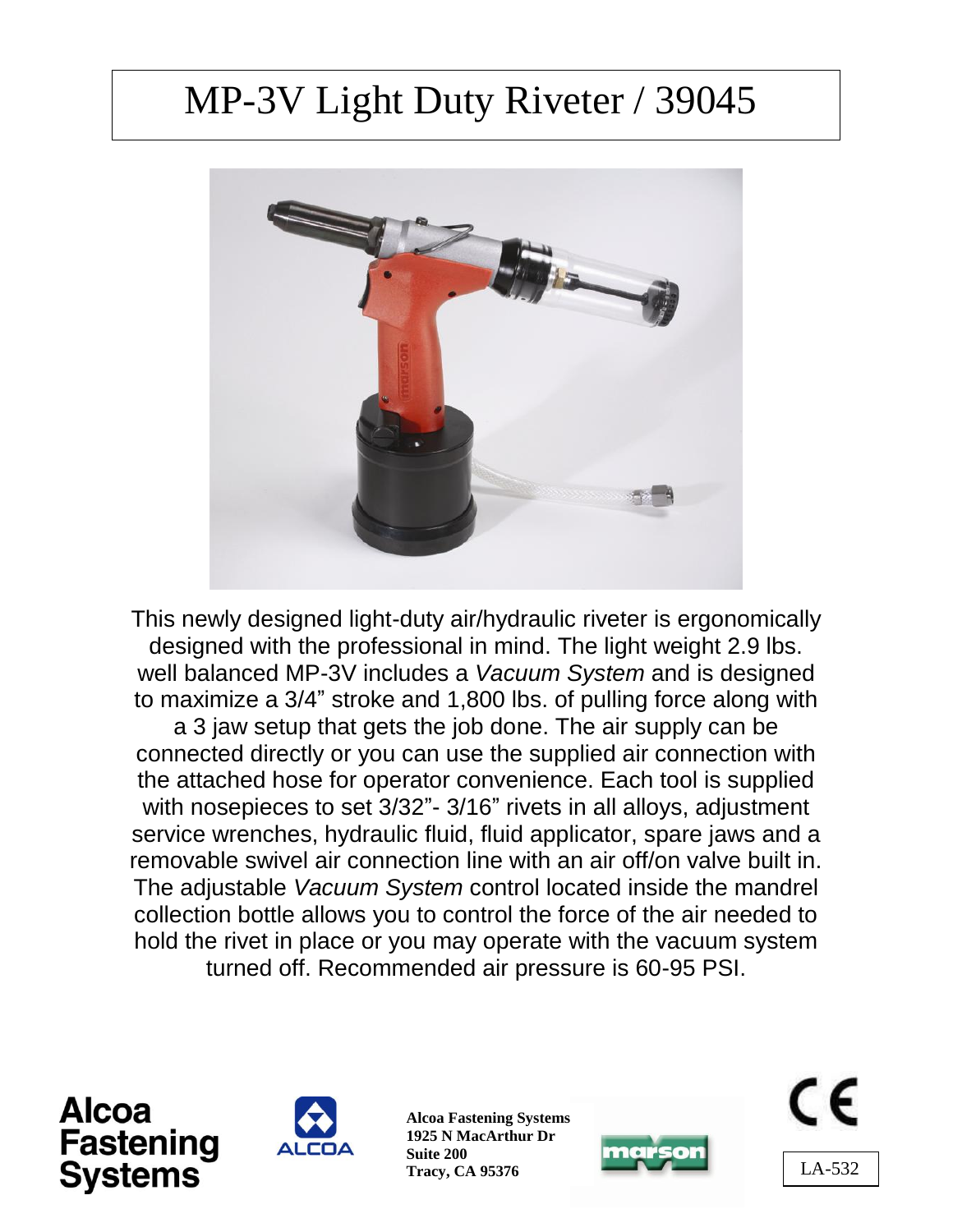# MP-3V Light Duty Riveter / 39045



This newly designed light-duty air/hydraulic riveter is ergonomically designed with the professional in mind. The light weight 2.9 lbs. well balanced MP-3V includes a *Vacuum System* and is designed to maximize a 3/4" stroke and 1,800 lbs. of pulling force along with a 3 jaw setup that gets the job done. The air supply can be connected directly or you can use the supplied air connection with the attached hose for operator convenience. Each tool is supplied with nosepieces to set 3/32"- 3/16" rivets in all alloys, adjustment service wrenches, hydraulic fluid, fluid applicator, spare jaws and a removable swivel air connection line with an air off/on valve built in. The adjustable *Vacuum System* control located inside the mandrel collection bottle allows you to control the force of the air needed to hold the rivet in place or you may operate with the vacuum system turned off. Recommended air pressure is 60-95 PSI.





**Alcoa Fastening Systems 1925 N MacArthur Dr Suite 200 Tracy, CA 95376**



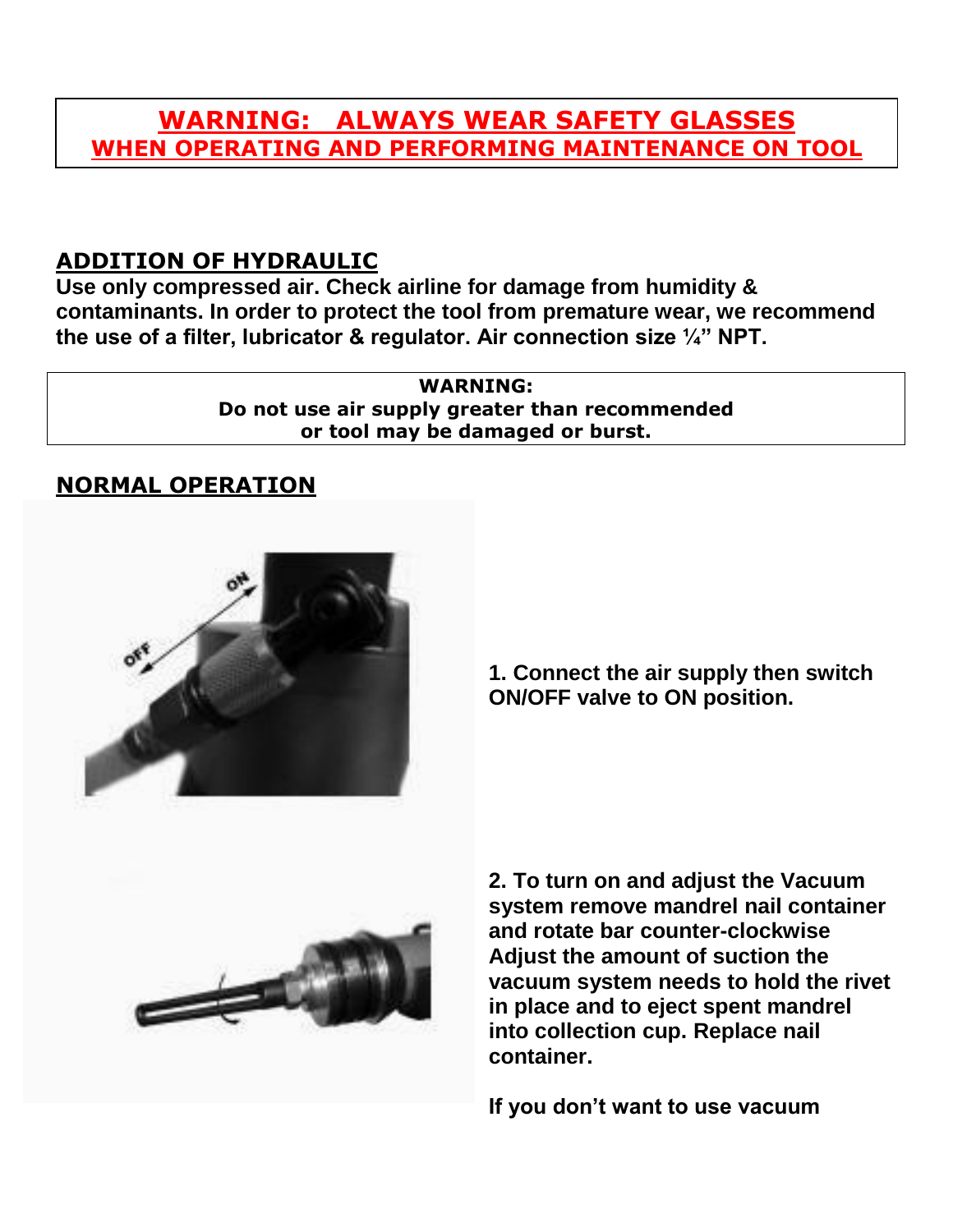### **WARNING: ALWAYS WEAR SAFETY GLASSES WHEN OPERATING AND PERFORMING MAINTENANCE ON TOOL**

#### **ADDITION OF HYDRAULIC**

**Use only compressed air. Check airline for damage from humidity & contaminants. In order to protect the tool from premature wear, we recommend the use of a filter, lubricator & regulator. Air connection size ¼" NPT.**

> **WARNING: Do not use air supply greater than recommended or tool may be damaged or burst.**

#### **NORMAL OPERATION**



**1. Connect the air supply then switch ON/OFF valve to ON position.** 



**2. To turn on and adjust the Vacuum system remove mandrel nail container and rotate bar counter-clockwise Adjust the amount of suction the vacuum system needs to hold the rivet in place and to eject spent mandrel into collection cup. Replace nail container.**

**If you don't want to use vacuum**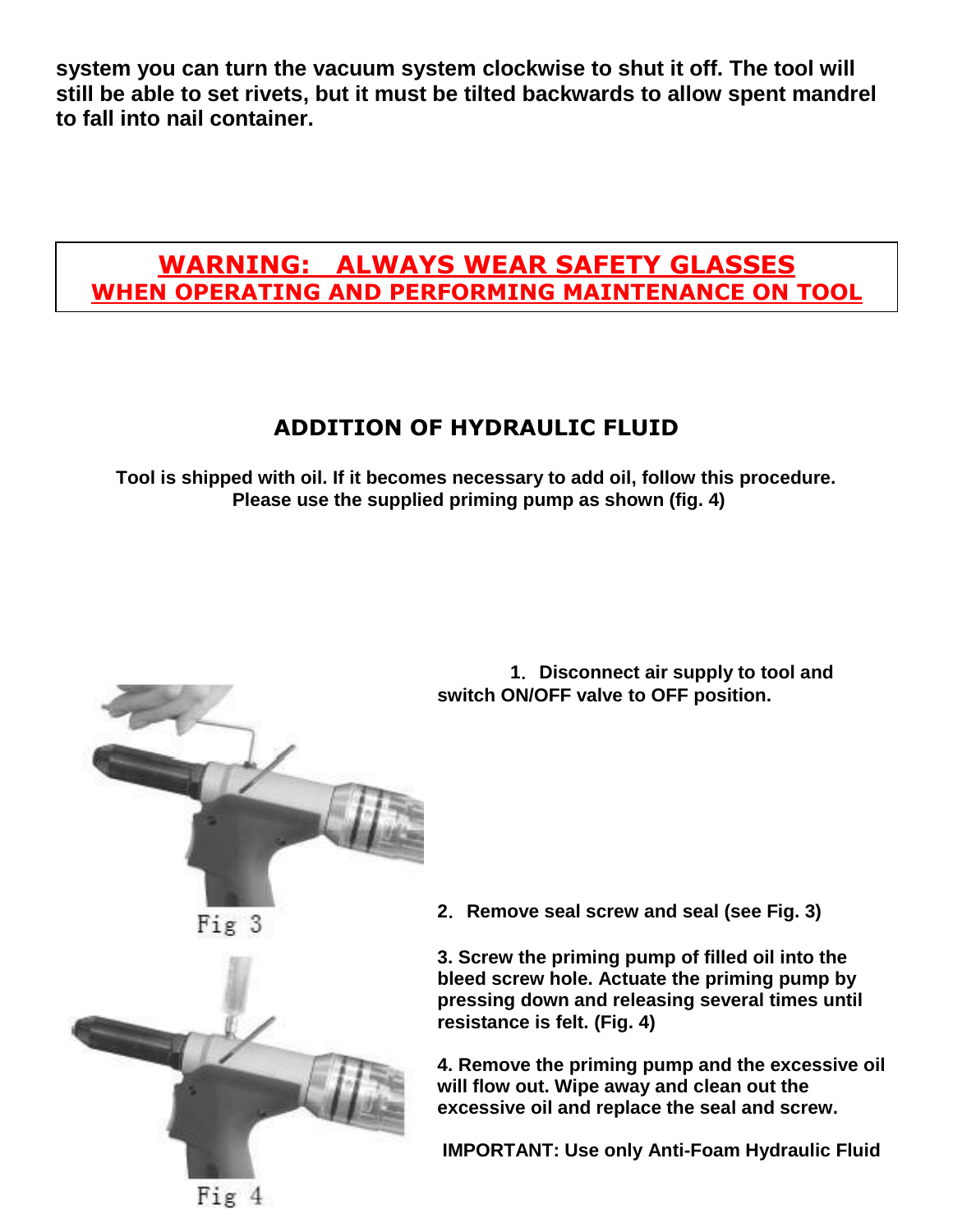**system you can turn the vacuum system clockwise to shut it off. The tool will still be able to set rivets, but it must be tilted backwards to allow spent mandrel to fall into nail container.**

## **WARNING: ALWAYS WEAR SAFETY GLASSES WHEN OPERATING AND PERFORMING MAINTENANCE ON TOOL**

### **ADDITION OF HYDRAULIC FLUID**

**Tool is shipped with oil. If it becomes necessary to add oil, follow this procedure. Please use the supplied priming pump as shown (fig. 4)**



 **1**.**Disconnect air supply to tool and switch ON/OFF valve to OFF position.**

 $Fix 3$ 



**2**.**Remove seal screw and seal (see Fig. 3)** 

**3. Screw the priming pump of filled oil into the bleed screw hole. Actuate the priming pump by pressing down and releasing several times until resistance is felt. (Fig. 4)**

**4. Remove the priming pump and the excessive oil will flow out. Wipe away and clean out the excessive oil and replace the seal and screw.**

**IMPORTANT: Use only Anti-Foam Hydraulic Fluid**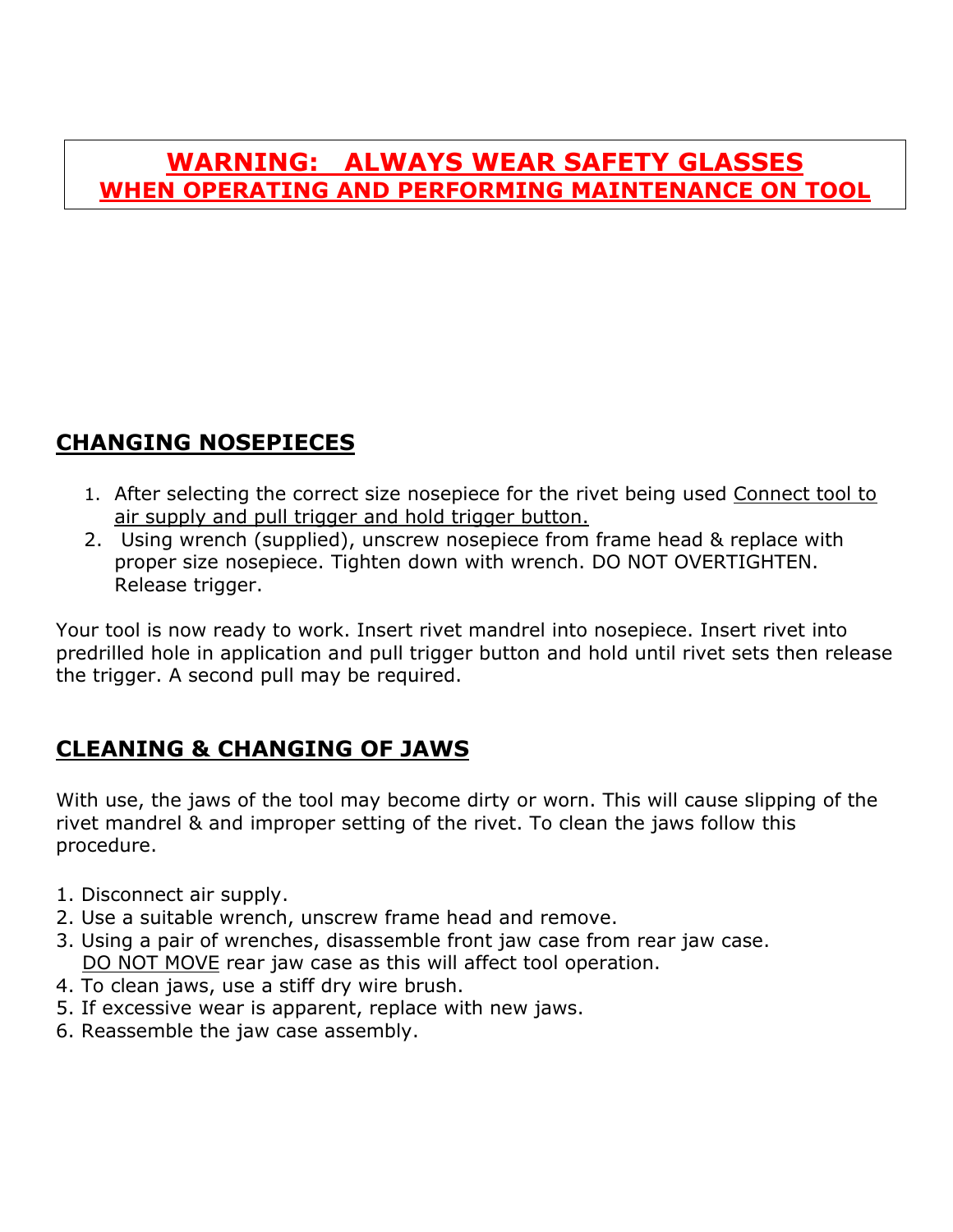### **WARNING: ALWAYS WEAR SAFETY GLASSES WHEN OPERATING AND PERFORMING MAINTENANCE ON TOOL**

### **CHANGING NOSEPIECES**

- 1. After selecting the correct size nosepiece for the rivet being used Connect tool to air supply and pull trigger and hold trigger button.
- 2. Using wrench (supplied), unscrew nosepiece from frame head & replace with proper size nosepiece. Tighten down with wrench. DO NOT OVERTIGHTEN. Release trigger.

Your tool is now ready to work. Insert rivet mandrel into nosepiece. Insert rivet into predrilled hole in application and pull trigger button and hold until rivet sets then release the trigger. A second pull may be required.

### **CLEANING & CHANGING OF JAWS**

With use, the jaws of the tool may become dirty or worn. This will cause slipping of the rivet mandrel & and improper setting of the rivet. To clean the jaws follow this procedure.

- 1. Disconnect air supply.
- 2. Use a suitable wrench, unscrew frame head and remove.
- 3. Using a pair of wrenches, disassemble front jaw case from rear jaw case. DO NOT MOVE rear jaw case as this will affect tool operation.
- 4. To clean jaws, use a stiff dry wire brush.
- 5. If excessive wear is apparent, replace with new jaws.
- 6. Reassemble the jaw case assembly.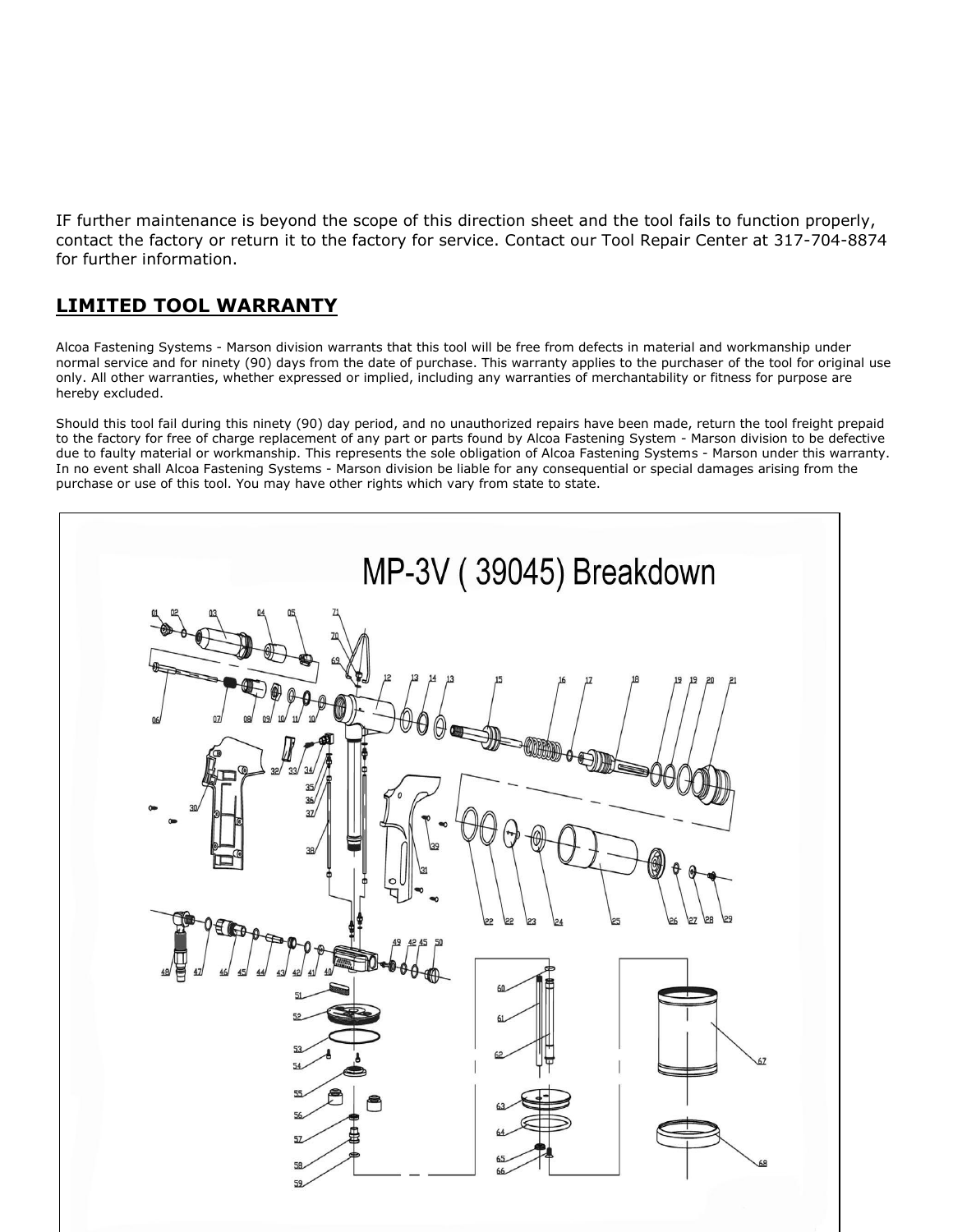IF further maintenance is beyond the scope of this direction sheet and the tool fails to function properly, contact the factory or return it to the factory for service. Contact our Tool Repair Center at 317-704-8874 for further information.

#### **LIMITED TOOL WARRANTY**

Alcoa Fastening Systems - Marson division warrants that this tool will be free from defects in material and workmanship under normal service and for ninety (90) days from the date of purchase. This warranty applies to the purchaser of the tool for original use only. All other warranties, whether expressed or implied, including any warranties of merchantability or fitness for purpose are hereby excluded.

Should this tool fail during this ninety (90) day period, and no unauthorized repairs have been made, return the tool freight prepaid to the factory for free of charge replacement of any part or parts found by Alcoa Fastening System - Marson division to be defective due to faulty material or workmanship. This represents the sole obligation of Alcoa Fastening Systems - Marson under this warranty. In no event shall Alcoa Fastening Systems - Marson division be liable for any consequential or special damages arising from the purchase or use of this tool. You may have other rights which vary from state to state.